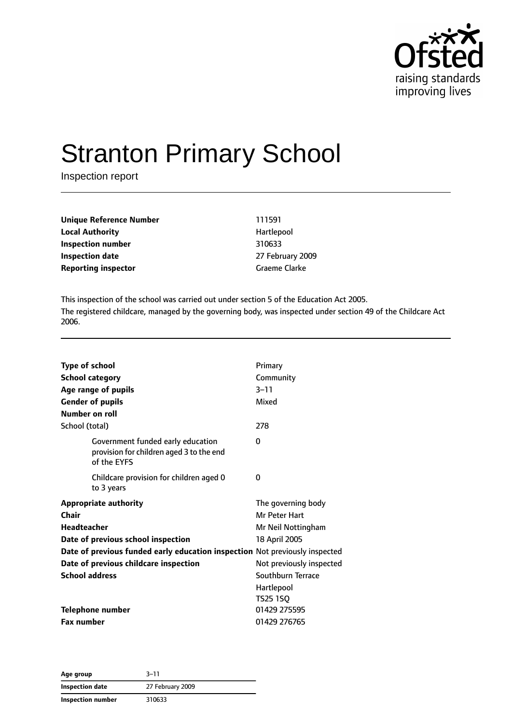

# Stranton Primary School

Inspection report

| Unique Reference Number    | 111591               |
|----------------------------|----------------------|
| <b>Local Authority</b>     | Hartlepool           |
| Inspection number          | 310633               |
| <b>Inspection date</b>     | 27 February 2009     |
| <b>Reporting inspector</b> | <b>Graeme Clarke</b> |

This inspection of the school was carried out under section 5 of the Education Act 2005. The registered childcare, managed by the governing body, was inspected under section 49 of the Childcare Act 2006.

| <b>Type of school</b><br><b>School category</b><br>Age range of pupils<br><b>Gender of pupils</b><br>Number on roll |                                                                                              | Primary<br>Community<br>$3 - 11$<br>Mixed                                  |
|---------------------------------------------------------------------------------------------------------------------|----------------------------------------------------------------------------------------------|----------------------------------------------------------------------------|
| School (total)                                                                                                      |                                                                                              | 278                                                                        |
|                                                                                                                     | Government funded early education<br>provision for children aged 3 to the end<br>of the EYFS | 0                                                                          |
| to 3 years                                                                                                          | Childcare provision for children aged 0                                                      | 0                                                                          |
| <b>Appropriate authority</b><br>Chair<br><b>Headteacher</b>                                                         | Date of previous school inspection                                                           | The governing body<br>Mr Peter Hart<br>Mr Neil Nottingham<br>18 April 2005 |
|                                                                                                                     | Date of previous funded early education inspection Not previously inspected                  |                                                                            |
|                                                                                                                     | Date of previous childcare inspection                                                        | Not previously inspected                                                   |
| <b>School address</b>                                                                                               |                                                                                              | Southburn Terrace                                                          |
|                                                                                                                     |                                                                                              | Hartlepool<br>TS25 1SQ                                                     |
| <b>Telephone number</b>                                                                                             |                                                                                              | 01429 275595                                                               |
| <b>Fax number</b>                                                                                                   |                                                                                              | 01429 276765                                                               |

**Age group** 3–11 **Inspection date** 27 February 2009 **Inspection number** 310633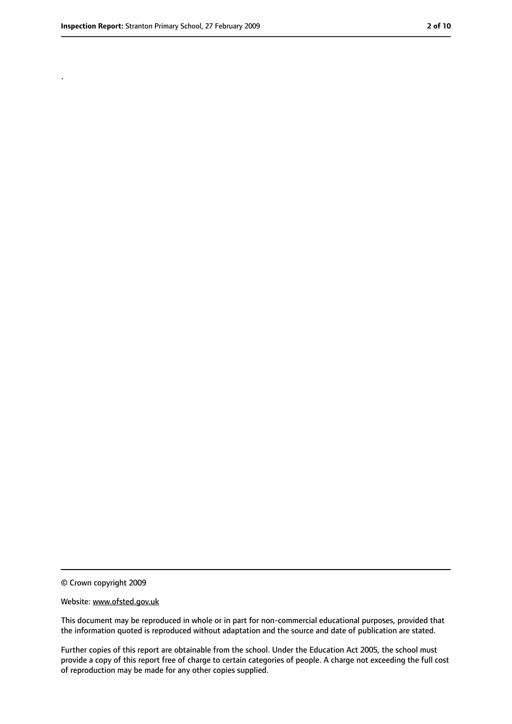.

<sup>©</sup> Crown copyright 2009

Website: www.ofsted.gov.uk

This document may be reproduced in whole or in part for non-commercial educational purposes, provided that the information quoted is reproduced without adaptation and the source and date of publication are stated.

Further copies of this report are obtainable from the school. Under the Education Act 2005, the school must provide a copy of this report free of charge to certain categories of people. A charge not exceeding the full cost of reproduction may be made for any other copies supplied.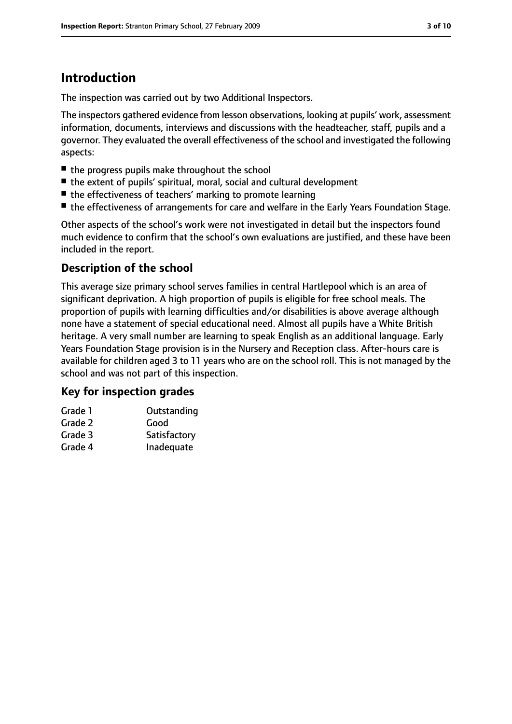# **Introduction**

The inspection was carried out by two Additional Inspectors.

The inspectors gathered evidence from lesson observations, looking at pupils' work, assessment information, documents, interviews and discussions with the headteacher, staff, pupils and a governor. They evaluated the overall effectiveness of the school and investigated the following aspects:

- the progress pupils make throughout the school
- the extent of pupils' spiritual, moral, social and cultural development
- the effectiveness of teachers' marking to promote learning
- the effectiveness of arrangements for care and welfare in the Early Years Foundation Stage.

Other aspects of the school's work were not investigated in detail but the inspectors found much evidence to confirm that the school's own evaluations are justified, and these have been included in the report.

#### **Description of the school**

This average size primary school serves families in central Hartlepool which is an area of significant deprivation. A high proportion of pupils is eligible for free school meals. The proportion of pupils with learning difficulties and/or disabilities is above average although none have a statement of special educational need. Almost all pupils have a White British heritage. A very small number are learning to speak English as an additional language. Early Years Foundation Stage provision is in the Nursery and Reception class. After-hours care is available for children aged 3 to 11 years who are on the school roll. This is not managed by the school and was not part of this inspection.

#### **Key for inspection grades**

| Grade 1 | Outstanding  |
|---------|--------------|
| Grade 2 | Good         |
| Grade 3 | Satisfactory |
| Grade 4 | Inadequate   |
|         |              |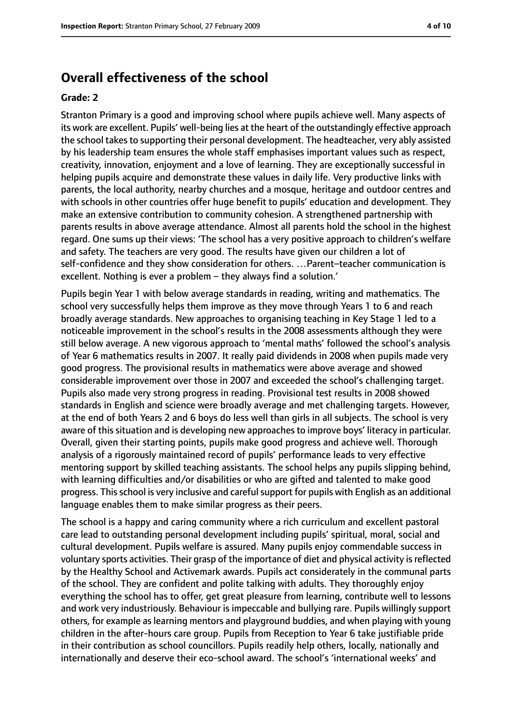#### **Overall effectiveness of the school**

#### **Grade: 2**

Stranton Primary is a good and improving school where pupils achieve well. Many aspects of its work are excellent. Pupils' well-being lies at the heart of the outstandingly effective approach the school takes to supporting their personal development. The headteacher, very ably assisted by his leadership team ensures the whole staff emphasises important values such as respect, creativity, innovation, enjoyment and a love of learning. They are exceptionally successful in helping pupils acquire and demonstrate these values in daily life. Very productive links with parents, the local authority, nearby churches and a mosque, heritage and outdoor centres and with schools in other countries offer huge benefit to pupils' education and development. They make an extensive contribution to community cohesion. A strengthened partnership with parents results in above average attendance. Almost all parents hold the school in the highest regard. One sums up their views: 'The school has a very positive approach to children's welfare and safety. The teachers are very good. The results have given our children a lot of self-confidence and they show consideration for others. …Parent–teacher communication is excellent. Nothing is ever a problem – they always find a solution.'

Pupils begin Year 1 with below average standards in reading, writing and mathematics. The school very successfully helps them improve as they move through Years 1 to 6 and reach broadly average standards. New approaches to organising teaching in Key Stage 1 led to a noticeable improvement in the school's results in the 2008 assessments although they were still below average. A new vigorous approach to 'mental maths' followed the school's analysis of Year 6 mathematics results in 2007. It really paid dividends in 2008 when pupils made very good progress. The provisional results in mathematics were above average and showed considerable improvement over those in 2007 and exceeded the school's challenging target. Pupils also made very strong progress in reading. Provisional test results in 2008 showed standards in English and science were broadly average and met challenging targets. However, at the end of both Years 2 and 6 boys do less well than girls in all subjects. The school is very aware of this situation and is developing new approaches to improve boys' literacy in particular. Overall, given their starting points, pupils make good progress and achieve well. Thorough analysis of a rigorously maintained record of pupils' performance leads to very effective mentoring support by skilled teaching assistants. The school helps any pupils slipping behind, with learning difficulties and/or disabilities or who are gifted and talented to make good progress. Thisschool is very inclusive and carefulsupport for pupils with English as an additional language enables them to make similar progress as their peers.

The school is a happy and caring community where a rich curriculum and excellent pastoral care lead to outstanding personal development including pupils' spiritual, moral, social and cultural development. Pupils welfare is assured. Many pupils enjoy commendable success in voluntary sports activities. Their grasp of the importance of diet and physical activity isreflected by the Healthy School and Activemark awards. Pupils act considerately in the communal parts of the school. They are confident and polite talking with adults. They thoroughly enjoy everything the school has to offer, get great pleasure from learning, contribute well to lessons and work very industriously. Behaviour is impeccable and bullying rare. Pupils willingly support others, for example as learning mentors and playground buddies, and when playing with young children in the after-hours care group. Pupils from Reception to Year 6 take justifiable pride in their contribution as school councillors. Pupils readily help others, locally, nationally and internationally and deserve their eco-school award. The school's 'international weeks' and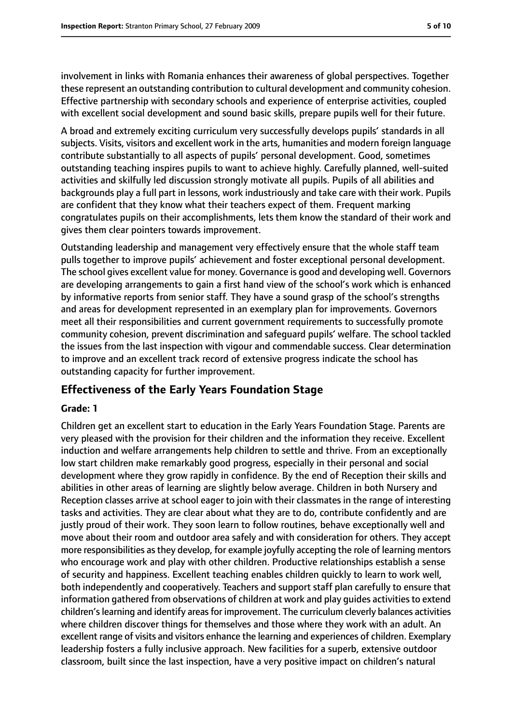involvement in links with Romania enhances their awareness of global perspectives. Together these represent an outstanding contribution to cultural development and community cohesion. Effective partnership with secondary schools and experience of enterprise activities, coupled with excellent social development and sound basic skills, prepare pupils well for their future.

A broad and extremely exciting curriculum very successfully develops pupils' standards in all subjects. Visits, visitors and excellent work in the arts, humanities and modern foreign language contribute substantially to all aspects of pupils' personal development. Good, sometimes outstanding teaching inspires pupils to want to achieve highly. Carefully planned, well-suited activities and skilfully led discussion strongly motivate all pupils. Pupils of all abilities and backgrounds play a full part in lessons, work industriously and take care with their work. Pupils are confident that they know what their teachers expect of them. Frequent marking congratulates pupils on their accomplishments, lets them know the standard of their work and gives them clear pointers towards improvement.

Outstanding leadership and management very effectively ensure that the whole staff team pulls together to improve pupils' achievement and foster exceptional personal development. The school gives excellent value for money. Governance is good and developing well. Governors are developing arrangements to gain a first hand view of the school's work which is enhanced by informative reports from senior staff. They have a sound grasp of the school's strengths and areas for development represented in an exemplary plan for improvements. Governors meet all their responsibilities and current government requirements to successfully promote community cohesion, prevent discrimination and safeguard pupils' welfare. The school tackled the issues from the last inspection with vigour and commendable success. Clear determination to improve and an excellent track record of extensive progress indicate the school has outstanding capacity for further improvement.

#### **Effectiveness of the Early Years Foundation Stage**

#### **Grade: 1**

Children get an excellent start to education in the Early Years Foundation Stage. Parents are very pleased with the provision for their children and the information they receive. Excellent induction and welfare arrangements help children to settle and thrive. From an exceptionally low start children make remarkably good progress, especially in their personal and social development where they grow rapidly in confidence. By the end of Reception their skills and abilities in other areas of learning are slightly below average. Children in both Nursery and Reception classes arrive at school eager to join with their classmates in the range of interesting tasks and activities. They are clear about what they are to do, contribute confidently and are justly proud of their work. They soon learn to follow routines, behave exceptionally well and move about their room and outdoor area safely and with consideration for others. They accept more responsibilities asthey develop, for example joyfully accepting the role of learning mentors who encourage work and play with other children. Productive relationships establish a sense of security and happiness. Excellent teaching enables children quickly to learn to work well, both independently and cooperatively. Teachers and support staff plan carefully to ensure that information gathered from observations of children at work and play quides activities to extend children's learning and identify areas for improvement. The curriculum cleverly balances activities where children discover things for themselves and those where they work with an adult. An excellent range of visits and visitors enhance the learning and experiences of children. Exemplary leadership fosters a fully inclusive approach. New facilities for a superb, extensive outdoor classroom, built since the last inspection, have a very positive impact on children's natural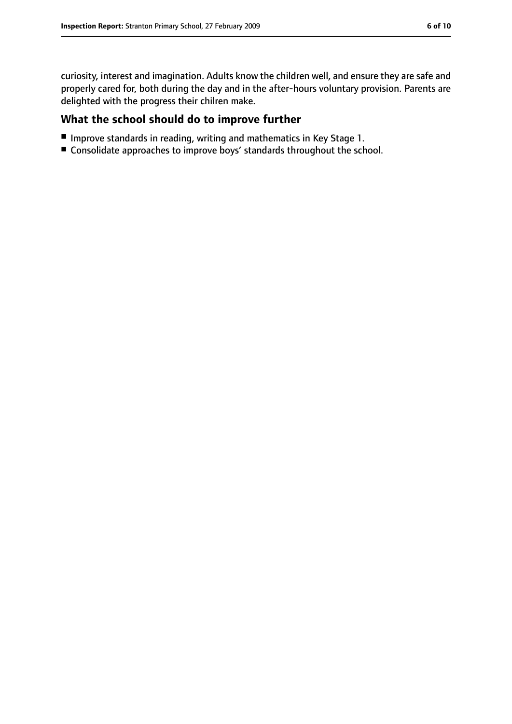curiosity, interest and imagination. Adults know the children well, and ensure they are safe and properly cared for, both during the day and in the after-hours voluntary provision. Parents are delighted with the progress their chilren make.

#### **What the school should do to improve further**

- Improve standards in reading, writing and mathematics in Key Stage 1.
- Consolidate approaches to improve boys' standards throughout the school.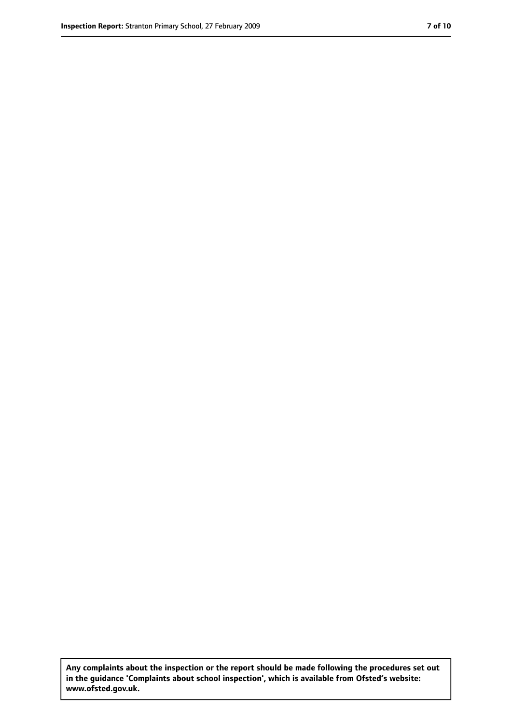**Any complaints about the inspection or the report should be made following the procedures set out in the guidance 'Complaints about school inspection', which is available from Ofsted's website: www.ofsted.gov.uk.**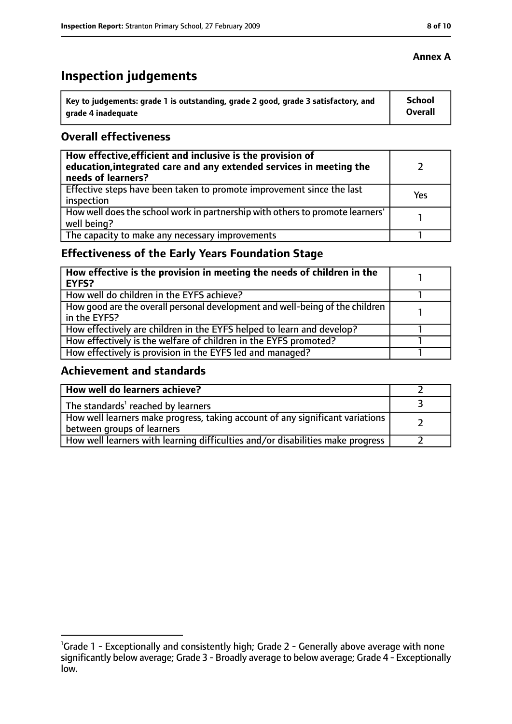# **Inspection judgements**

| \ Key to judgements: grade 1 is outstanding, grade 2 good, grade 3 satisfactory, and | <b>School</b>  |
|--------------------------------------------------------------------------------------|----------------|
| arade 4 inadequate                                                                   | <b>Overall</b> |

#### **Overall effectiveness**

| How effective, efficient and inclusive is the provision of<br>education, integrated care and any extended services in meeting the<br>needs of learners? |     |
|---------------------------------------------------------------------------------------------------------------------------------------------------------|-----|
| Effective steps have been taken to promote improvement since the last<br>inspection                                                                     | Yes |
| How well does the school work in partnership with others to promote learners'<br>well being?                                                            |     |
| The capacity to make any necessary improvements                                                                                                         |     |

## **Effectiveness of the Early Years Foundation Stage**

| How effective is the provision in meeting the needs of children in the<br>EYFS?              |  |
|----------------------------------------------------------------------------------------------|--|
| How well do children in the EYFS achieve?                                                    |  |
| How good are the overall personal development and well-being of the children<br>in the EYFS? |  |
| How effectively are children in the EYFS helped to learn and develop?                        |  |
| How effectively is the welfare of children in the EYFS promoted?                             |  |
| How effectively is provision in the EYFS led and managed?                                    |  |

#### **Achievement and standards**

| How well do learners achieve?                                                  |  |
|--------------------------------------------------------------------------------|--|
| The standards <sup>1</sup> reached by learners                                 |  |
| How well learners make progress, taking account of any significant variations  |  |
| between groups of learners                                                     |  |
| How well learners with learning difficulties and/or disabilities make progress |  |

#### **Annex A**

<sup>&</sup>lt;sup>1</sup>Grade 1 - Exceptionally and consistently high; Grade 2 - Generally above average with none significantly below average; Grade 3 - Broadly average to below average; Grade 4 - Exceptionally low.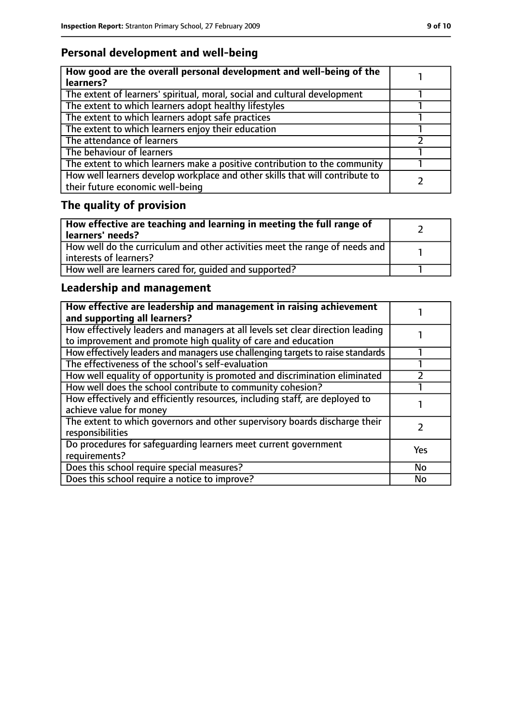## **Personal development and well-being**

| How good are the overall personal development and well-being of the<br>learners?                                 |  |
|------------------------------------------------------------------------------------------------------------------|--|
| The extent of learners' spiritual, moral, social and cultural development                                        |  |
| The extent to which learners adopt healthy lifestyles                                                            |  |
| The extent to which learners adopt safe practices                                                                |  |
| The extent to which learners enjoy their education                                                               |  |
| The attendance of learners                                                                                       |  |
| The behaviour of learners                                                                                        |  |
| The extent to which learners make a positive contribution to the community                                       |  |
| How well learners develop workplace and other skills that will contribute to<br>their future economic well-being |  |

# **The quality of provision**

| How effective are teaching and learning in meeting the full range of<br>learners' needs?              |  |
|-------------------------------------------------------------------------------------------------------|--|
| How well do the curriculum and other activities meet the range of needs and<br>interests of learners? |  |
| How well are learners cared for, quided and supported?                                                |  |

## **Leadership and management**

| How effective are leadership and management in raising achievement<br>and supporting all learners?                                              |     |
|-------------------------------------------------------------------------------------------------------------------------------------------------|-----|
| How effectively leaders and managers at all levels set clear direction leading<br>to improvement and promote high quality of care and education |     |
| How effectively leaders and managers use challenging targets to raise standards                                                                 |     |
| The effectiveness of the school's self-evaluation                                                                                               |     |
| How well equality of opportunity is promoted and discrimination eliminated                                                                      |     |
| How well does the school contribute to community cohesion?                                                                                      |     |
| How effectively and efficiently resources, including staff, are deployed to<br>achieve value for money                                          |     |
| The extent to which governors and other supervisory boards discharge their<br>responsibilities                                                  |     |
| Do procedures for safequarding learners meet current government<br>requirements?                                                                | Yes |
| Does this school require special measures?                                                                                                      | No  |
| Does this school require a notice to improve?                                                                                                   | No  |